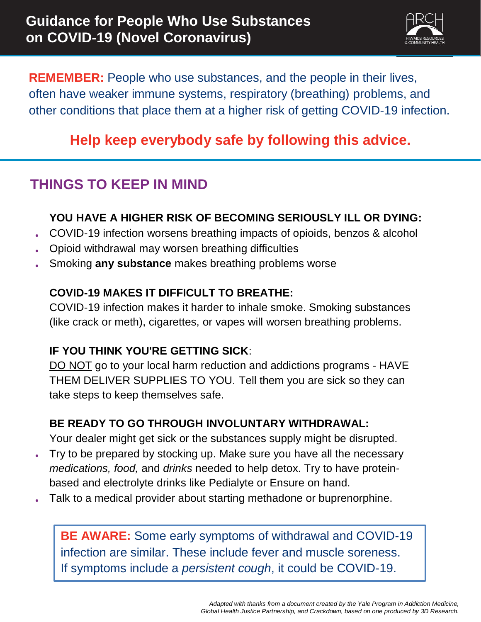

**REMEMBER:** People who use substances, and the people in their lives, often have weaker immune systems, respiratory (breathing) problems, and other conditions that place them at a higher risk of getting COVID-19 infection.

## **Help keep everybody safe by following this advice.**

### **THINGS TO KEEP IN MIND**

### **YOU HAVE A HIGHER RISK OF BECOMING SERIOUSLY ILL OR DYING:**

- COVID-19 infection worsens breathing impacts of opioids, benzos & alcohol
- Opioid withdrawal may worsen breathing difficulties
- Smoking **any substance** makes breathing problems worse

#### **COVID-19 MAKES IT DIFFICULT TO BREATHE:**

COVID-19 infection makes it harder to inhale smoke. Smoking substances (like crack or meth), cigarettes, or vapes will worsen breathing problems.

### **IF YOU THINK YOU'RE GETTING SICK**:

DO NOT go to your local harm reduction and addictions programs - HAVE THEM DELIVER SUPPLIES TO YOU. Tell them you are sick so they can take steps to keep themselves safe.

### **BE READY TO GO THROUGH INVOLUNTARY WITHDRAWAL:**

Your dealer might get sick or the substances supply might be disrupted.

- Try to be prepared by stocking up. Make sure you have all the necessary *medications, food,* and *drinks* needed to help detox. Try to have proteinbased and electrolyte drinks like Pedialyte or Ensure on hand.
- Talk to a medical provider about starting methadone or buprenorphine.

**BE AWARE:** Some early symptoms of withdrawal and COVID-19 infection are similar. These include fever and muscle soreness. If symptoms include a *persistent cough*, it could be COVID-19.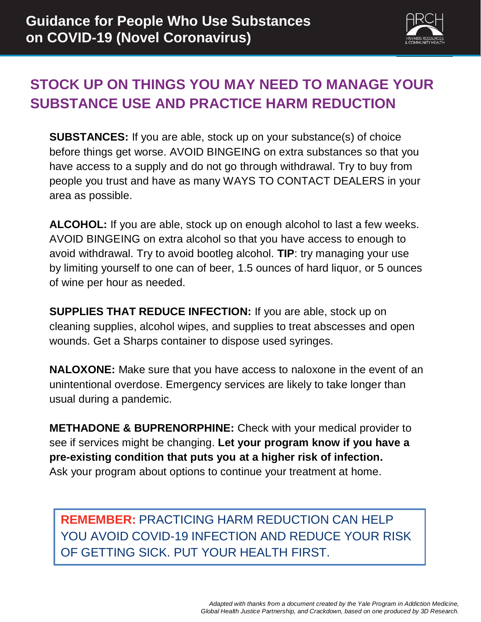

## **STOCK UP ON THINGS YOU MAY NEED TO MANAGE YOUR SUBSTANCE USE AND PRACTICE HARM REDUCTION**

**SUBSTANCES:** If you are able, stock up on your substance(s) of choice before things get worse. AVOID BINGEING on extra substances so that you have access to a supply and do not go through withdrawal. Try to buy from people you trust and have as many WAYS TO CONTACT DEALERS in your area as possible.

**ALCOHOL:** If you are able, stock up on enough alcohol to last a few weeks. AVOID BINGEING on extra alcohol so that you have access to enough to avoid withdrawal. Try to avoid bootleg alcohol. **TIP**: try managing your use by limiting yourself to one can of beer, 1.5 ounces of hard liquor, or 5 ounces of wine per hour as needed.

**SUPPLIES THAT REDUCE INFECTION:** If you are able, stock up on cleaning supplies, alcohol wipes, and supplies to treat abscesses and open wounds. Get a Sharps container to dispose used syringes.

**NALOXONE:** Make sure that you have access to naloxone in the event of an unintentional overdose. Emergency services are likely to take longer than usual during a pandemic.

**METHADONE & BUPRENORPHINE:** Check with your medical provider to see if services might be changing. **Let your program know if you have a pre-existing condition that puts you at a higher risk of infection.** Ask your program about options to continue your treatment at home.

**REMEMBER:** PRACTICING HARM REDUCTION CAN HELP YOU AVOID COVID-19 INFECTION AND REDUCE YOUR RISK OF GETTING SICK. PUT YOUR HEALTH FIRST.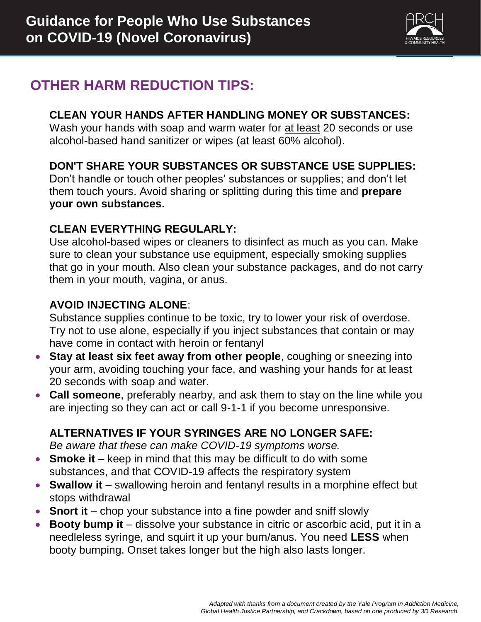

## **OTHER HARM REDUCTION TIPS:**

#### **CLEAN YOUR HANDS AFTER HANDLING MONEY OR SUBSTANCES:**

Wash your hands with soap and warm water for at least 20 seconds or use alcohol-based hand sanitizer or wipes (at least 60% alcohol).

### **DON'T SHARE YOUR SUBSTANCES OR SUBSTANCE USE SUPPLIES:**

Don't handle or touch other peoples' substances or supplies; and don't let them touch yours. Avoid sharing or splitting during this time and **prepare your own substances.**

### **CLEAN EVERYTHING REGULARLY:**

Use alcohol-based wipes or cleaners to disinfect as much as you can. Make sure to clean your substance use equipment, especially smoking supplies that go in your mouth. Also clean your substance packages, and do not carry them in your mouth, vagina, or anus.

### **AVOID INJECTING ALONE**:

Substance supplies continue to be toxic, try to lower your risk of overdose. Try not to use alone, especially if you inject substances that contain or may have come in contact with heroin or fentanyl

- **Stay at least six feet away from other people**, coughing or sneezing into your arm, avoiding touching your face, and washing your hands for at least 20 seconds with soap and water.
- **Call someone**, preferably nearby, and ask them to stay on the line while you are injecting so they can act or call 9-1-1 if you become unresponsive.

### **ALTERNATIVES IF YOUR SYRINGES ARE NO LONGER SAFE:**

*Be aware that these can make COVID-19 symptoms worse.*

- **Smoke it** keep in mind that this may be difficult to do with some substances, and that COVID-19 affects the respiratory system
- **Swallow it** swallowing heroin and fentanyl results in a morphine effect but stops withdrawal
- **Snort it** chop your substance into a fine powder and sniff slowly
- **Booty bump it** dissolve your substance in citric or ascorbic acid, put it in a needleless syringe, and squirt it up your bum/anus. You need **LESS** when booty bumping. Onset takes longer but the high also lasts longer.